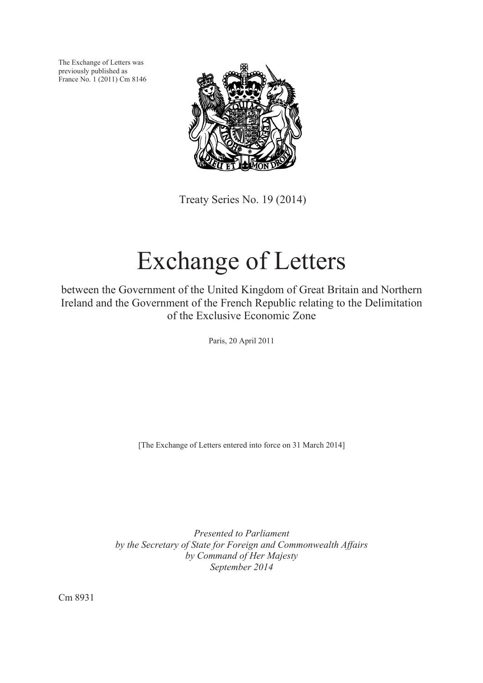The Exchange of Letters was previously published as France No. 1 (2011) Cm 8146



Treaty Series No. 19 (2014)

# Exchange of Letters

between the Government of the United Kingdom of Great Britain and Northern Ireland and the Government of the French Republic relating to the Delimitation of the Exclusive Economic Zone

Paris, 20 April 2011

[The Exchange of Letters entered into force on 31 March 2014]

*Presented to Parliament by the Secretary of State for Foreign and Commonwealth Affairs by Command of Her Majesty September 2014* 

Cm 8931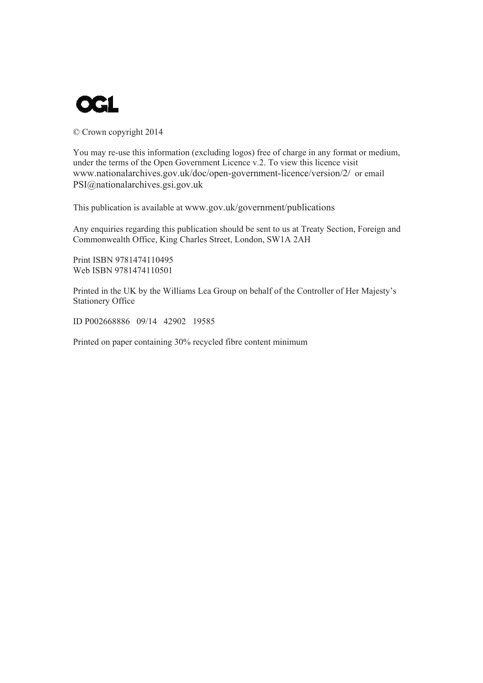

© Crown copyright 2014

PSI@nationalarchives.gsi.gov.uk You may re-use this information (excluding logos) free of charge in any format or medium, under the terms of the Open Government Licence v.2. To view this licence visit www.nationalarchives.gov.uk/doc/open-government-licence/version/2/ or email

This publication is available at www.gov.uk/government/publications

Any enquiries regarding this publication should be sent to us at Treaty Section, Foreign and Commonwealth Office, King Charles Street, London, SW1A 2AH

Print ISBN 9781474110495 Web ISBN 9781474110501

Printed in the UK by the Williams Lea Group on behalf of the Controller of Her Majesty's Stationery Office

ID P002668886 09/14 42902 19585

Printed on paper containing 30% recycled fibre content minimum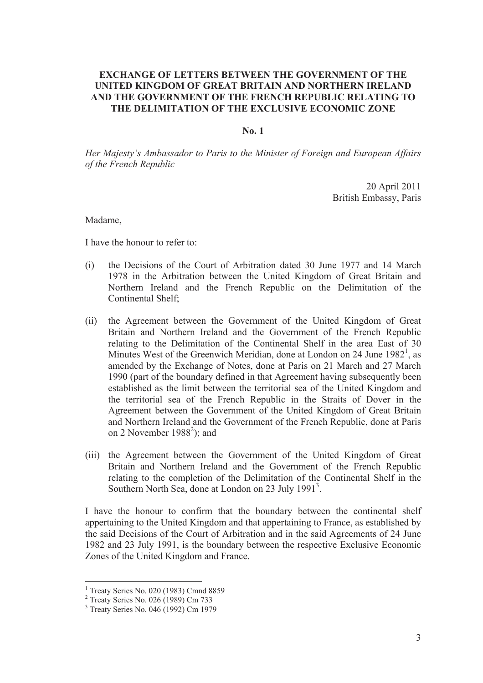## **EXCHANGE OF LETTERS BETWEEN THE GOVERNMENT OF THE UNITED KINGDOM OF GREAT BRITAIN AND NORTHERN IRELAND AND THE GOVERNMENT OF THE FRENCH REPUBLIC RELATING TO THE DELIMITATION OF THE EXCLUSIVE ECONOMIC ZONE**

## **No. 1**

*Her Majesty's Ambassador to Paris to the Minister of Foreign and European Affairs of the French Republic* 

> 20 April 2011 British Embassy, Paris

Madame,

I have the honour to refer to:

- (i) the Decisions of the Court of Arbitration dated 30 June 1977 and 14 March 1978 in the Arbitration between the United Kingdom of Great Britain and Northern Ireland and the French Republic on the Delimitation of the Continental Shelf;
- (ii) the Agreement between the Government of the United Kingdom of Great Britain and Northern Ireland and the Government of the French Republic relating to the Delimitation of the Continental Shelf in the area East of 30 Minutes West of the Greenwich Meridian, done at London on 24 June  $1982^1$ , as amended by the Exchange of Notes, done at Paris on 21 March and 27 March 1990 (part of the boundary defined in that Agreement having subsequently been established as the limit between the territorial sea of the United Kingdom and the territorial sea of the French Republic in the Straits of Dover in the Agreement between the Government of the United Kingdom of Great Britain and Northern Ireland and the Government of the French Republic, done at Paris on 2 November  $1988^2$ ); and
- (iii) the Agreement between the Government of the United Kingdom of Great Britain and Northern Ireland and the Government of the French Republic relating to the completion of the Delimitation of the Continental Shelf in the Southern North Sea, done at London on 23 July 1991<sup>3</sup>.

I have the honour to confirm that the boundary between the continental shelf appertaining to the United Kingdom and that appertaining to France, as established by the said Decisions of the Court of Arbitration and in the said Agreements of 24 June 1982 and 23 July 1991, is the boundary between the respective Exclusive Economic Zones of the United Kingdom and France.

 $\ddot{\phantom{a}}$ 

<sup>&</sup>lt;sup>1</sup> Treaty Series No. 020 (1983) Cmnd 8859

<sup>2</sup> Treaty Series No. 026 (1989) Cm 733

<sup>3</sup> Treaty Series No. 046 (1992) Cm 1979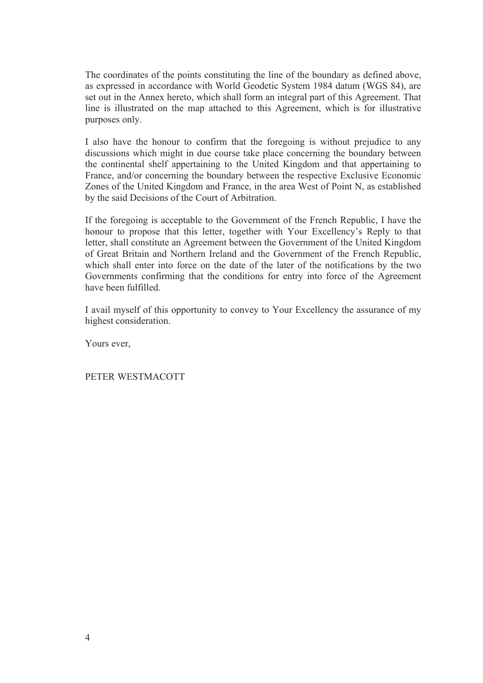The coordinates of the points constituting the line of the boundary as defined above, as expressed in accordance with World Geodetic System 1984 datum (WGS 84), are set out in the Annex hereto, which shall form an integral part of this Agreement. That line is illustrated on the map attached to this Agreement, which is for illustrative purposes only.

by the said Decisions of the Court of Arbitration. I also have the honour to confirm that the foregoing is without prejudice to any discussions which might in due course take place concerning the boundary between the continental shelf appertaining to the United Kingdom and that appertaining to France, and/or concerning the boundary between the respective Exclusive Economic Zones of the United Kingdom and France, in the area West of Point N, as established

If the foregoing is acceptable to the Government of the French Republic. I have the honour to propose that this letter, together with Your Excellency's Reply to that letter, shall constitute an Agreement between the Government of the United Kingdom of Great Britain and Northern Ireland and the Government of the French Republic, which shall enter into force on the date of the later of the notifications by the two Governments confirming that the conditions for entry into force of the Agreement have been fulfilled.

I avail myself of this opportunity to convey to Your Excellency the assurance of my highest consideration.

Yours ever,

PETER WESTMACOTT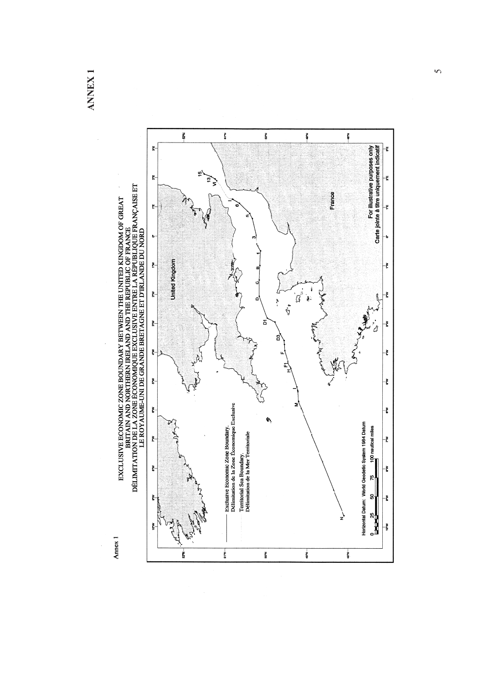

Annex 1

 $\overline{\mathcal{E}}$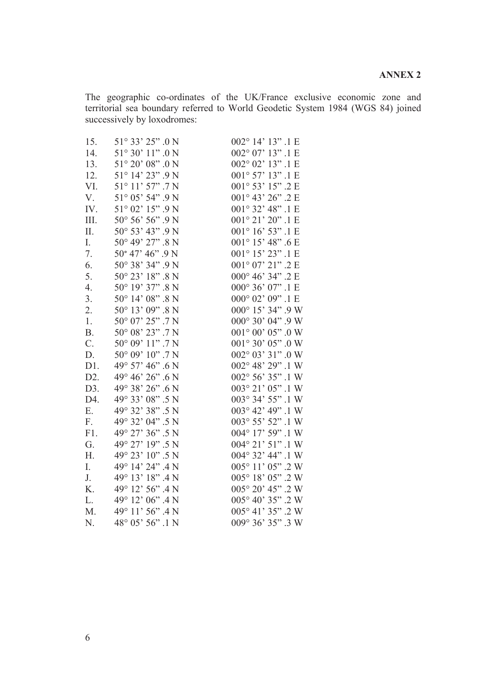The geographic co-ordinates of the UK/France exclusive economic zone and territorial sea boundary referred to World Geodetic System 1984 (WGS 84) joined successively by loxodromes:

| 15.             | 51° 33' 25" .0 N                                    | 002° 14' 13" .1 E                |
|-----------------|-----------------------------------------------------|----------------------------------|
| 14.             | $51^{\circ}$ $30^{\prime}$ $11^{\prime\prime}$ .0 N | 002° 07' 13" .1 E                |
| 13.             | $51^{\circ}$ 20' 08" .0 N                           | 002° 02' 13" .1 E                |
| 12.             | 51° 14' 23" .9 N                                    | 001° 57' 13" .1 E                |
| VI.             | 51° 11' 57" .7N                                     | 001° 53' 15" .2 E                |
| V.              | 51° 05' 54" .9 N                                    | 001° 43' 26" .2 E                |
| IV.             | 51° 02' 15" .9 N                                    | 001° 32' 48" .1 E                |
| III.            | $50^{\circ}$ $56^{\circ}$ $56^{\circ}$ .9 N         | 001° 21' 20" .1 ${\rm E}$        |
| II.             | $50^{\circ}$ 53' 43" .<br>9 $\hbox{N}$              | $001^{\circ}$ 16' 53" .1 E       |
| I.              | 50° 49' 27" .8 N                                    | 001° 15' 48" .6 E                |
| 7.              | $50^{\circ}$ 47' 46" .9 N                           | 001° 15' 23" .1 E                |
| 6.              | 50° 38' 34" .9 N                                    | 001° 07' 21" .2 E                |
| 5.              | 50° 23' 18" .8 N                                    | 000° 46' 34" .2 E                |
| 4.              | 50° 19' 37" .8 N                                    | 000 $^{\circ}$ 36' 07" .1 E      |
| 3.              | $50^{\circ}$ 14' $08"$ .8 N                         | $000^{\circ}$ 02' $09"$ .<br>1 E |
| 2.              | $50^{\circ}$ 13' $09"$ .8 N                         | 000° 15' 34" .9 W                |
| 1.              | 50° 07' 25" .7N                                     | 000° 30' 04" .9 W                |
| <b>B.</b>       | 50° 08' 23" .7 N                                    | 001° 00' 05" .0 W                |
| $\mathcal{C}$ . | $50^{\circ} 09' 11''$ . 7 N                         | $001^{\circ} 30' 05"$ . 0 W      |
| D.              | 50° 09' 10" .7 N                                    | 002° 03' 31" .0 W                |
| D1.             | 49° 57' 46" .6N                                     | 002° 48' 29" .1 W                |
| D2.             | 49° 46' 26" .6 N                                    | 002° 56' 35" .1 W                |
| D3.             | 49° 38' 26" .6N                                     | 003° 21' 05" .1 W                |
| D4.             | 49° 33' 08" .5 N                                    | 003° 34' 55" .1 W                |
| Ε.              | 49° 32' 38" .5 N                                    | $003^{\circ}$ 42' 49" .1 W       |
| $F_{\cdot}$     | 49° 32' 04" .5 N                                    | 003° 55' 52" .1 W                |
| F1.             | 49° 27' 36" .5N                                     | 004° 17' 59" .1 W                |
| G.              | 49° 27' 19" .5 N                                    | 004° 21' 51" .1 W                |
| H.              | $49^{\circ}$ $23^{\prime}$ $10^{\prime\prime}$ .5 N | 004° 32' 44" .1 W                |
| I.              | 49° 14' 24" .4 N                                    | 005° 11' 05" .2 W                |
| J.              | 49° 13' 18" .4 N                                    | 005° 18' 05" .2 W                |
| K.              | 49° 12' 56" .4N                                     | 005° 20' 45" .2 W                |
| L.              | 49° 12' 06" .4 N                                    | 005° 40' 35" .2 W                |
| $M_{\cdot}$     | 49° 11' 56" .4 N                                    | 005° 41' 35" .2 W                |
| N.              | 48° 05' 56" .1 N                                    | 009° 36' 35" .3 W                |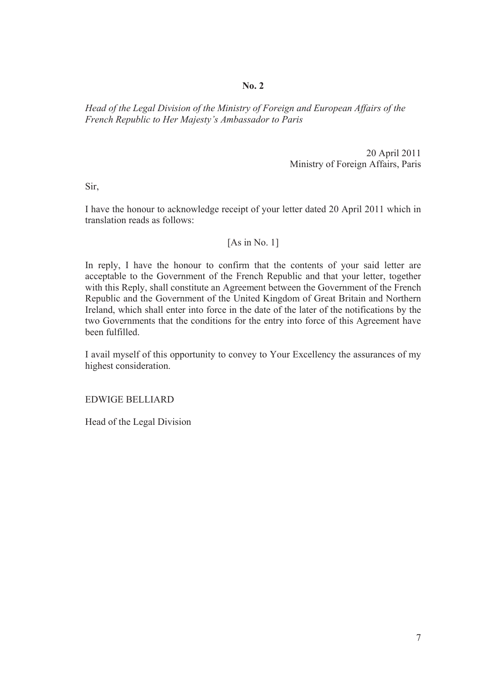## **No. 2**

*Head of the Legal Division of the Ministry of Foreign and European Affairs of the French Republic to Her Majesty's Ambassador to Paris* 

> 20 April 2011 Ministry of Foreign Affairs, Paris

Sir,

I have the honour to acknowledge receipt of your letter dated 20 April 2011 which in translation reads as follows:

## [As in No. 1]

In reply, I have the honour to confirm that the contents of your said letter are acceptable to the Government of the French Republic and that your letter, together with this Reply, shall constitute an Agreement between the Government of the French Republic and the Government of the United Kingdom of Great Britain and Northern Ireland, which shall enter into force in the date of the later of the notifications by the two Governments that the conditions for the entry into force of this Agreement have been fulfilled.

I avail myself of this opportunity to convey to Your Excellency the assurances of my highest consideration.

## EDWIGE BELLIARD

Head of the Legal Division